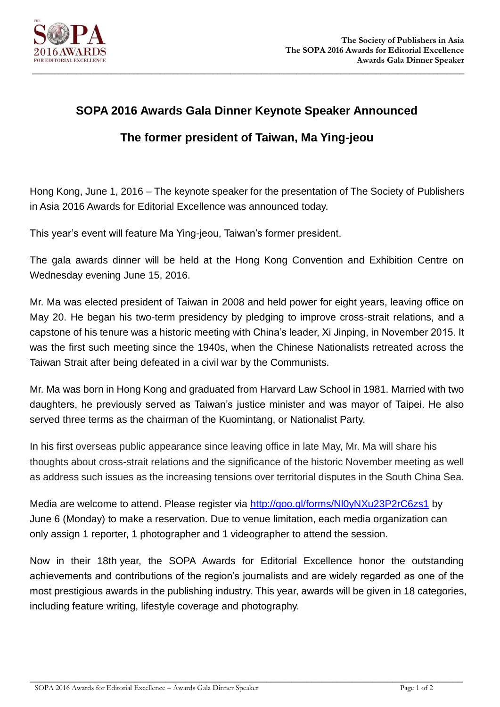

## **SOPA 2016 Awards Gala Dinner Keynote Speaker Announced**

## **The former president of Taiwan, Ma Ying-jeou**

Hong Kong, June 1, 2016 – The keynote speaker for the presentation of The Society of Publishers in Asia 2016 Awards for Editorial Excellence was announced today.

This year's event will feature Ma Ying-jeou, Taiwan's former president.

The gala awards dinner will be held at the Hong Kong Convention and Exhibition Centre on Wednesday evening June 15, 2016.

Mr. Ma was elected president of Taiwan in 2008 and held power for eight years, leaving office on May 20. He began his two-term presidency by pledging to improve cross-strait relations, and a capstone of his tenure was a historic meeting with China's leader, Xi Jinping, in November 2015. It was the first such meeting since the 1940s, when the Chinese Nationalists retreated across the Taiwan Strait after being defeated in a civil war by the Communists.

Mr. Ma was born in Hong Kong and graduated from Harvard Law School in 1981. Married with two daughters, he previously served as Taiwan's justice minister and was mayor of Taipei. He also served three terms as the chairman of the Kuomintang, or Nationalist Party.

In his first overseas public appearance since leaving office in late May, Mr. Ma will share his thoughts about cross-strait relations and the significance of the historic November meeting as well as address such issues as the increasing tensions over territorial disputes in the South China Sea.

Media are welcome to attend. Please register via<http://goo.gl/forms/Nl0yNXu23P2rC6zs1> by June 6 (Monday) to make a reservation. Due to venue limitation, each media organization can only assign 1 reporter, 1 photographer and 1 videographer to attend the session.

Now in their 18th year, the SOPA Awards for Editorial Excellence honor the outstanding achievements and contributions of the region's journalists and are widely regarded as one of the most prestigious awards in the publishing industry. This year, awards will be given in 18 categories, including feature writing, lifestyle coverage and photography.

 $\_$  , and the set of the set of the set of the set of the set of the set of the set of the set of the set of the set of the set of the set of the set of the set of the set of the set of the set of the set of the set of th